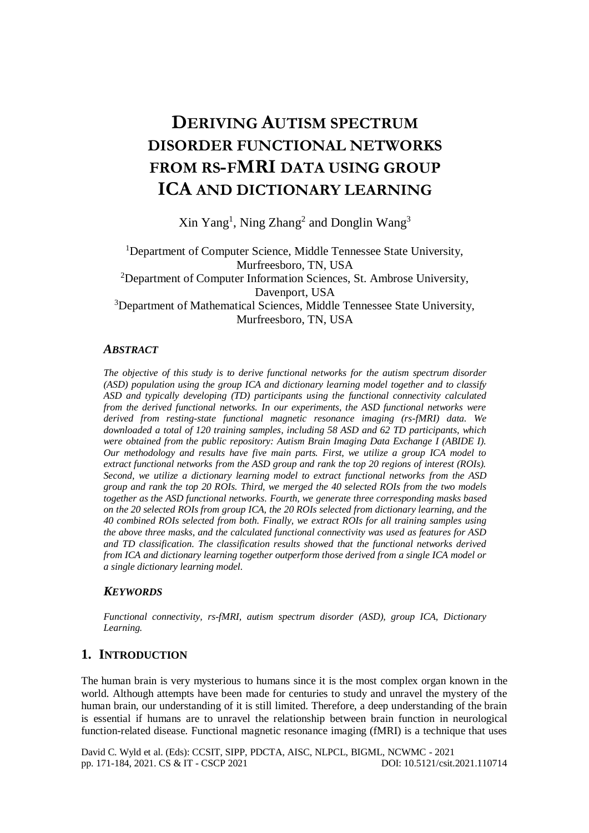# **DERIVING AUTISM SPECTRUM DISORDER FUNCTIONAL NETWORKS FROM RS-FMRI DATA USING GROUP ICA AND DICTIONARY LEARNING**

Xin Yang<sup>1</sup>, Ning Zhang<sup>2</sup> and Donglin Wang<sup>3</sup>

<sup>1</sup>Department of Computer Science, Middle Tennessee State University, Murfreesboro, TN, USA <sup>2</sup>Department of Computer Information Sciences, St. Ambrose University, Davenport, USA <sup>3</sup>Department of Mathematical Sciences, Middle Tennessee State University, Murfreesboro, TN, USA

# *ABSTRACT*

*The objective of this study is to derive functional networks for the autism spectrum disorder (ASD) population using the group ICA and dictionary learning model together and to classify ASD and typically developing (TD) participants using the functional connectivity calculated from the derived functional networks. In our experiments, the ASD functional networks were derived from resting-state functional magnetic resonance imaging (rs-fMRI) data. We downloaded a total of 120 training samples, including 58 ASD and 62 TD participants, which were obtained from the public repository: Autism Brain Imaging Data Exchange I (ABIDE I). Our methodology and results have five main parts. First, we utilize a group ICA model to extract functional networks from the ASD group and rank the top 20 regions of interest (ROIs). Second, we utilize a dictionary learning model to extract functional networks from the ASD group and rank the top 20 ROIs. Third, we merged the 40 selected ROIs from the two models together as the ASD functional networks. Fourth, we generate three corresponding masks based on the 20 selected ROIs from group ICA, the 20 ROIs selected from dictionary learning, and the 40 combined ROIs selected from both. Finally, we extract ROIs for all training samples using the above three masks, and the calculated functional connectivity was used as features for ASD and TD classification. The classification results showed that the functional networks derived from ICA and dictionary learning together outperform those derived from a single ICA model or a single dictionary learning model.* 

# *KEYWORDS*

*Functional connectivity, rs-fMRI, autism spectrum disorder (ASD), group ICA, Dictionary Learning.*

# **1. INTRODUCTION**

The human brain is very mysterious to humans since it is the most complex organ known in the world. Although attempts have been made for centuries to study and unravel the mystery of the human brain, our understanding of it is still limited. Therefore, a deep understanding of the brain is essential if humans are to unravel the relationship between brain function in neurological function-related disease. Functional magnetic resonance imaging (fMRI) is a technique that uses

David C. Wyld et al. (Eds): CCSIT, SIPP, PDCTA, AISC, NLPCL, BIGML, NCWMC - 2021 pp. 171-184, 2021[. CS & IT](http://airccse.org/cscp.html) - [CSCP 2021](http://airccse.org/csit/V11N07.html) [DOI: 10.5121/csit.2021.110714](https://doi.org/10.5121/csit.2021.110714)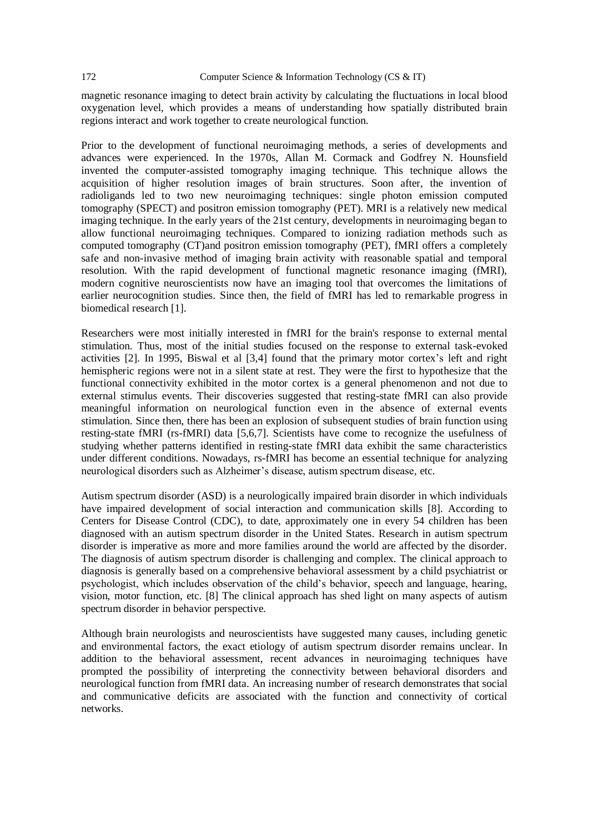magnetic resonance imaging to detect brain activity by calculating the fluctuations in local blood oxygenation level, which provides a means of understanding how spatially distributed brain regions interact and work together to create neurological function.

Prior to the development of functional neuroimaging methods, a series of developments and advances were experienced. In the 1970s, Allan M. Cormack and Godfrey N. Hounsfield invented the computer-assisted tomography imaging technique. This technique allows the acquisition of higher resolution images of brain structures. Soon after, the invention of radioligands led to two new neuroimaging techniques: single photon emission computed tomography (SPECT) and positron emission tomography (PET). MRI is a relatively new medical imaging technique. In the early years of the 21st century, developments in neuroimaging began to allow functional neuroimaging techniques. Compared to ionizing radiation methods such as computed tomography (CT)and positron emission tomography (PET), fMRI offers a completely safe and non-invasive method of imaging brain activity with reasonable spatial and temporal resolution. With the rapid development of functional magnetic resonance imaging (fMRI), modern cognitive neuroscientists now have an imaging tool that overcomes the limitations of earlier neurocognition studies. Since then, the field of fMRI has led to remarkable progress in biomedical research [1].

Researchers were most initially interested in fMRI for the brain's response to external mental stimulation. Thus, most of the initial studies focused on the response to external task-evoked activities [2]. In 1995, Biswal et al [3,4] found that the primary motor cortex's left and right hemispheric regions were not in a silent state at rest. They were the first to hypothesize that the functional connectivity exhibited in the motor cortex is a general phenomenon and not due to external stimulus events. Their discoveries suggested that resting-state fMRI can also provide meaningful information on neurological function even in the absence of external events stimulation. Since then, there has been an explosion of subsequent studies of brain function using resting-state fMRI (rs-fMRI) data [5,6,7]. Scientists have come to recognize the usefulness of studying whether patterns identified in resting-state fMRI data exhibit the same characteristics under different conditions. Nowadays, rs-fMRI has become an essential technique for analyzing neurological disorders such as Alzheimer's disease, autism spectrum disease, etc.

Autism spectrum disorder (ASD) is a neurologically impaired brain disorder in which individuals have impaired development of social interaction and communication skills [8]. According to Centers for Disease Control (CDC), to date, approximately one in every 54 children has been diagnosed with an autism spectrum disorder in the United States. Research in autism spectrum disorder is imperative as more and more families around the world are affected by the disorder. The diagnosis of autism spectrum disorder is challenging and complex. The clinical approach to diagnosis is generally based on a comprehensive behavioral assessment by a child psychiatrist or psychologist, which includes observation of the child's behavior, speech and language, hearing, vision, motor function, etc. [8] The clinical approach has shed light on many aspects of autism spectrum disorder in behavior perspective.

Although brain neurologists and neuroscientists have suggested many causes, including genetic and environmental factors, the exact etiology of autism spectrum disorder remains unclear. In addition to the behavioral assessment, recent advances in neuroimaging techniques have prompted the possibility of interpreting the connectivity between behavioral disorders and neurological function from fMRI data. An increasing number of research demonstrates that social and communicative deficits are associated with the function and connectivity of cortical networks.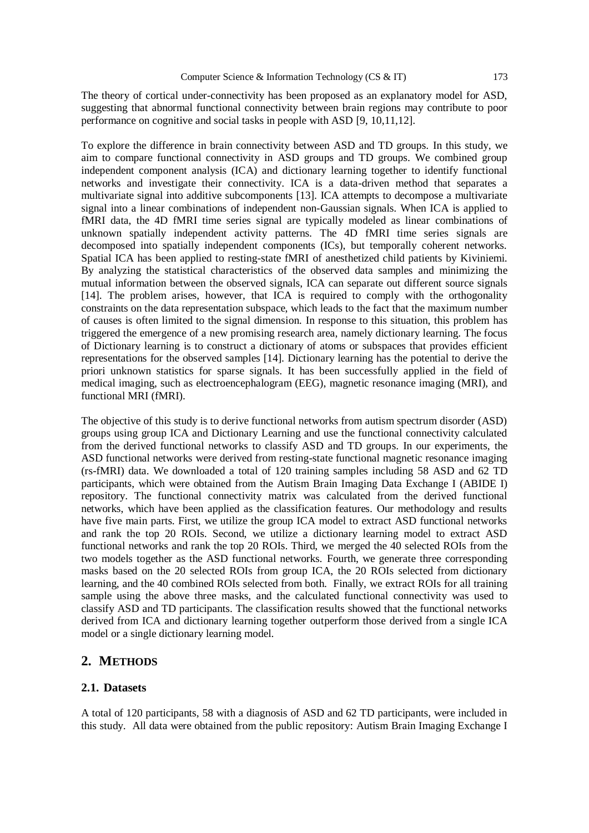The theory of cortical under-connectivity has been proposed as an explanatory model for ASD, suggesting that abnormal functional connectivity between brain regions may contribute to poor performance on cognitive and social tasks in people with ASD [9, 10,11,12].

To explore the difference in brain connectivity between ASD and TD groups. In this study, we aim to compare functional connectivity in ASD groups and TD groups. We combined group independent component analysis (ICA) and dictionary learning together to identify functional networks and investigate their connectivity. ICA is a data-driven method that separates a multivariate signal into additive subcomponents [13]. ICA attempts to decompose a multivariate signal into a linear combinations of independent non-Gaussian signals. When ICA is applied to fMRI data, the 4D fMRI time series signal are typically modeled as linear combinations of unknown spatially independent activity patterns. The 4D fMRI time series signals are decomposed into spatially independent components (ICs), but temporally coherent networks. Spatial ICA has been applied to resting-state fMRI of anesthetized child patients by Kiviniemi. By analyzing the statistical characteristics of the observed data samples and minimizing the mutual information between the observed signals, ICA can separate out different source signals [14]. The problem arises, however, that ICA is required to comply with the orthogonality constraints on the data representation subspace, which leads to the fact that the maximum number of causes is often limited to the signal dimension. In response to this situation, this problem has triggered the emergence of a new promising research area, namely dictionary learning. The focus of Dictionary learning is to construct a dictionary of atoms or subspaces that provides efficient representations for the observed samples [14]. Dictionary learning has the potential to derive the priori unknown statistics for sparse signals. It has been successfully applied in the field of medical imaging, such as electroencephalogram (EEG), magnetic resonance imaging (MRI), and functional MRI (fMRI).

The objective of this study is to derive functional networks from autism spectrum disorder (ASD) groups using group ICA and Dictionary Learning and use the functional connectivity calculated from the derived functional networks to classify ASD and TD groups. In our experiments, the ASD functional networks were derived from resting-state functional magnetic resonance imaging (rs-fMRI) data. We downloaded a total of 120 training samples including 58 ASD and 62 TD participants, which were obtained from the Autism Brain Imaging Data Exchange I (ABIDE I) repository. The functional connectivity matrix was calculated from the derived functional networks, which have been applied as the classification features. Our methodology and results have five main parts. First, we utilize the group ICA model to extract ASD functional networks and rank the top 20 ROIs. Second, we utilize a dictionary learning model to extract ASD functional networks and rank the top 20 ROIs. Third, we merged the 40 selected ROIs from the two models together as the ASD functional networks. Fourth, we generate three corresponding masks based on the 20 selected ROIs from group ICA, the 20 ROIs selected from dictionary learning, and the 40 combined ROIs selected from both. Finally, we extract ROIs for all training sample using the above three masks, and the calculated functional connectivity was used to classify ASD and TD participants. The classification results showed that the functional networks derived from ICA and dictionary learning together outperform those derived from a single ICA model or a single dictionary learning model.

# **2. METHODS**

# **2.1. Datasets**

A total of 120 participants, 58 with a diagnosis of ASD and 62 TD participants, were included in this study. All data were obtained from the public repository: Autism Brain Imaging Exchange I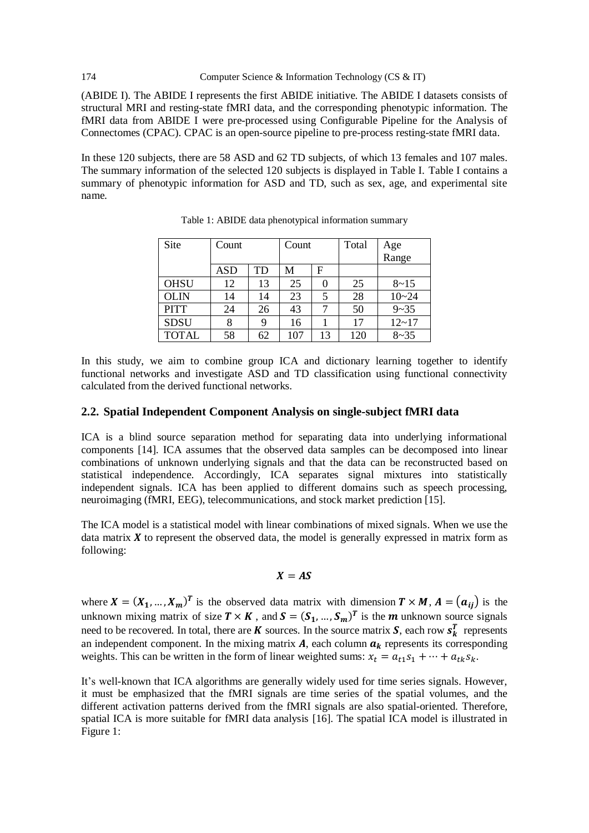#### 174 Computer Science & Information Technology (CS & IT)

(ABIDE I). The ABIDE I represents the first ABIDE initiative. The ABIDE I datasets consists of structural MRI and resting-state fMRI data, and the corresponding phenotypic information. The fMRI data from ABIDE I were pre-processed using Configurable Pipeline for the Analysis of Connectomes (CPAC). CPAC is an open-source pipeline to pre-process resting-state fMRI data.

In these 120 subjects, there are 58 ASD and 62 TD subjects, of which 13 females and 107 males. The summary information of the selected 120 subjects is displayed in Table I. Table I contains a summary of phenotypic information for ASD and TD, such as sex, age, and experimental site name.

| Site         | Count      |    | Count |    | Total |              |
|--------------|------------|----|-------|----|-------|--------------|
|              |            |    |       |    |       | Age<br>Range |
|              | <b>ASD</b> | TD | M     | F  |       |              |
| <b>OHSU</b>  | 12         | 13 | 25    |    | 25    | $8 - 15$     |
| <b>OLIN</b>  | 14         | 14 | 23    | 5  | 28    | $10 - 24$    |
| <b>PITT</b>  | 24         | 26 | 43    |    | 50    | $9 - 35$     |
| <b>SDSU</b>  |            |    | 16    |    | 17    | $12 - 17$    |
| <b>TOTAL</b> | 58         | 62 | 107   | 13 | 120   | $8 - 35$     |

Table 1: ABIDE data phenotypical information summary

In this study, we aim to combine group ICA and dictionary learning together to identify functional networks and investigate ASD and TD classification using functional connectivity calculated from the derived functional networks.

#### **2.2. Spatial Independent Component Analysis on single-subject fMRI data**

ICA is a blind source separation method for separating data into underlying informational components [14]. ICA assumes that the observed data samples can be decomposed into linear combinations of unknown underlying signals and that the data can be reconstructed based on statistical independence. Accordingly, ICA separates signal mixtures into statistically independent signals. ICA has been applied to different domains such as speech processing, neuroimaging (fMRI, EEG), telecommunications, and stock market prediction [15].

The ICA model is a statistical model with linear combinations of mixed signals. When we use the data matrix  $X$  to represent the observed data, the model is generally expressed in matrix form as following:

### $X = AS$

where  $X = (X_1, ..., X_m)^T$  is the observed data matrix with dimension  $T \times M$ ,  $A = (a_{ij})$  is the unknown mixing matrix of size  $T \times K$ , and  $S = (S_1, ..., S_m)^T$  is the *m* unknown source signals need to be recovered. In total, there are **K** sources. In the source matrix **S**, each row  $s_k^T$  represents an independent component. In the mixing matrix  $A$ , each column  $a_k$  represents its corresponding weights. This can be written in the form of linear weighted sums:  $x_t = a_{t1} s_1 + \cdots + a_{tk} s_k$ .

It's well-known that ICA algorithms are generally widely used for time series signals. However, it must be emphasized that the fMRI signals are time series of the spatial volumes, and the different activation patterns derived from the fMRI signals are also spatial-oriented. Therefore, spatial ICA is more suitable for fMRI data analysis [16]. The spatial ICA model is illustrated in Figure 1: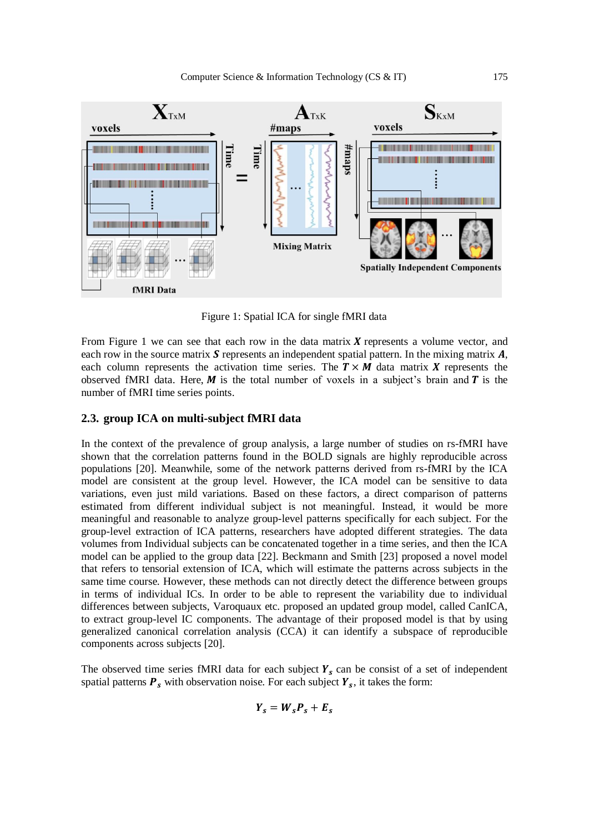

Figure 1: Spatial ICA for single fMRI data

From Figure 1 we can see that each row in the data matrix  $\boldsymbol{X}$  represents a volume vector, and each row in the source matrix  $\bf S$  represents an independent spatial pattern. In the mixing matrix  $\bf A$ , each column represents the activation time series. The  $T \times M$  data matrix X represents the observed fMRI data. Here,  $M$  is the total number of voxels in a subject's brain and  $T$  is the number of fMRI time series points.

# **2.3. group ICA on multi-subject fMRI data**

In the context of the prevalence of group analysis, a large number of studies on rs-fMRI have shown that the correlation patterns found in the BOLD signals are highly reproducible across populations [20]. Meanwhile, some of the network patterns derived from rs-fMRI by the ICA model are consistent at the group level. However, the ICA model can be sensitive to data variations, even just mild variations. Based on these factors, a direct comparison of patterns estimated from different individual subject is not meaningful. Instead, it would be more meaningful and reasonable to analyze group-level patterns specifically for each subject. For the group-level extraction of ICA patterns, researchers have adopted different strategies. The data volumes from Individual subjects can be concatenated together in a time series, and then the ICA model can be applied to the group data [22]. Beckmann and Smith [23] proposed a novel model that refers to tensorial extension of ICA, which will estimate the patterns across subjects in the same time course. However, these methods can not directly detect the difference between groups in terms of individual ICs. In order to be able to represent the variability due to individual differences between subjects, Varoquaux etc. proposed an updated group model, called CanICA, to extract group-level IC components. The advantage of their proposed model is that by using generalized canonical correlation analysis (CCA) it can identify a subspace of reproducible components across subjects [20].

The observed time series fMRI data for each subject  $Y_s$  can be consist of a set of independent spatial patterns  $P_s$  with observation noise. For each subject  $Y_s$ , it takes the form:

$$
Y_s = W_s P_s + E_s
$$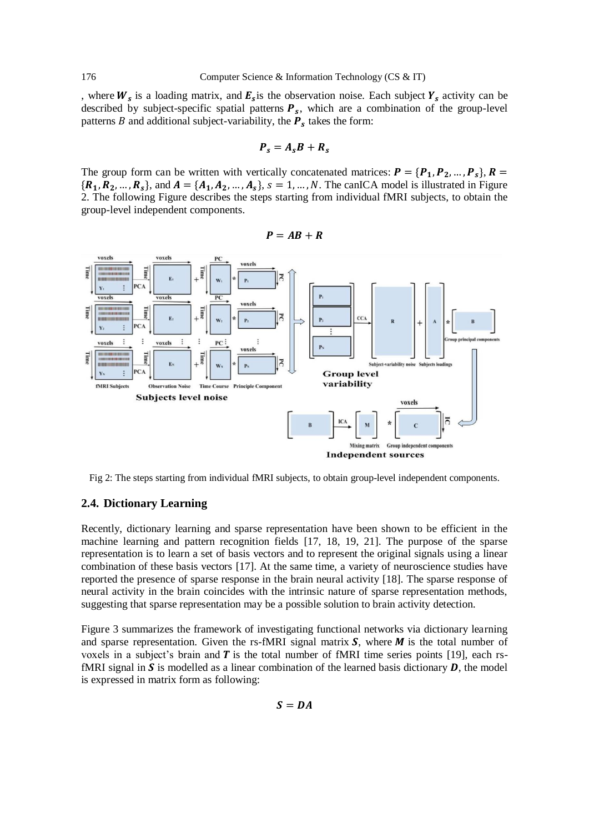, where  $W_s$  is a loading matrix, and  $E_s$  is the observation noise. Each subject  $Y_s$  activity can be described by subject-specific spatial patterns  $P_s$ , which are a combination of the group-level patterns *B* and additional subject-variability, the  $P_s$  takes the form:

$$
\boldsymbol{P}_s = \boldsymbol{A}_s \boldsymbol{B} + \boldsymbol{R}_s
$$

The group form can be written with vertically concatenated matrices:  $P = \{P_1, P_2, ..., P_s\}, R =$  $\{R_1, R_2, ..., R_s\}$ , and  $A = \{A_1, A_2, ..., A_s\}$ ,  $s = 1, ..., N$ . The canICA model is illustrated in Figure 2. The following Figure describes the steps starting from individual fMRI subjects, to obtain the group-level independent components.

$$
P = AB + R
$$



Fig 2: The steps starting from individual fMRI subjects, to obtain group-level independent components.

#### **2.4. Dictionary Learning**

Recently, dictionary learning and sparse representation have been shown to be efficient in the machine learning and pattern recognition fields [17, 18, 19, 21]. The purpose of the sparse representation is to learn a set of basis vectors and to represent the original signals using a linear combination of these basis vectors [17]. At the same time, a variety of neuroscience studies have reported the presence of sparse response in the brain neural activity [18]. The sparse response of neural activity in the brain coincides with the intrinsic nature of sparse representation methods, suggesting that sparse representation may be a possible solution to brain activity detection.

Figure 3 summarizes the framework of investigating functional networks via dictionary learning and sparse representation. Given the rs-fMRI signal matrix  $S$ , where  $M$  is the total number of voxels in a subject's brain and  $\bar{T}$  is the total number of fMRI time series points [19], each rsfMRI signal in  $S$  is modelled as a linear combination of the learned basis dictionary  $D$ , the model is expressed in matrix form as following:

 $S = DA$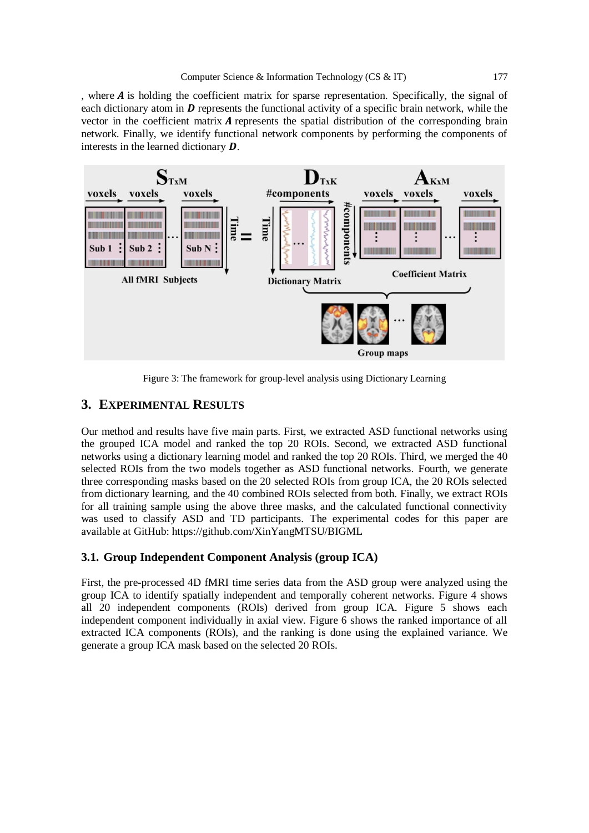, where  $\vec{A}$  is holding the coefficient matrix for sparse representation. Specifically, the signal of each dictionary atom in  $\bm{D}$  represents the functional activity of a specific brain network, while the vector in the coefficient matrix  $A$  represents the spatial distribution of the corresponding brain network. Finally, we identify functional network components by performing the components of interests in the learned dictionary  $\boldsymbol{D}$ .



Figure 3: The framework for group-level analysis using Dictionary Learning

# **3. EXPERIMENTAL RESULTS**

Our method and results have five main parts. First, we extracted ASD functional networks using the grouped ICA model and ranked the top 20 ROIs. Second, we extracted ASD functional networks using a dictionary learning model and ranked the top 20 ROIs. Third, we merged the 40 selected ROIs from the two models together as ASD functional networks. Fourth, we generate three corresponding masks based on the 20 selected ROIs from group ICA, the 20 ROIs selected from dictionary learning, and the 40 combined ROIs selected from both. Finally, we extract ROIs for all training sample using the above three masks, and the calculated functional connectivity was used to classify ASD and TD participants. The experimental codes for this paper are available at GitHub: https://github.com/XinYangMTSU/BIGML

### **3.1. Group Independent Component Analysis (group ICA)**

First, the pre-processed 4D fMRI time series data from the ASD group were analyzed using the group ICA to identify spatially independent and temporally coherent networks. Figure 4 shows all 20 independent components (ROIs) derived from group ICA. Figure 5 shows each independent component individually in axial view. Figure 6 shows the ranked importance of all extracted ICA components (ROIs), and the ranking is done using the explained variance. We generate a group ICA mask based on the selected 20 ROIs.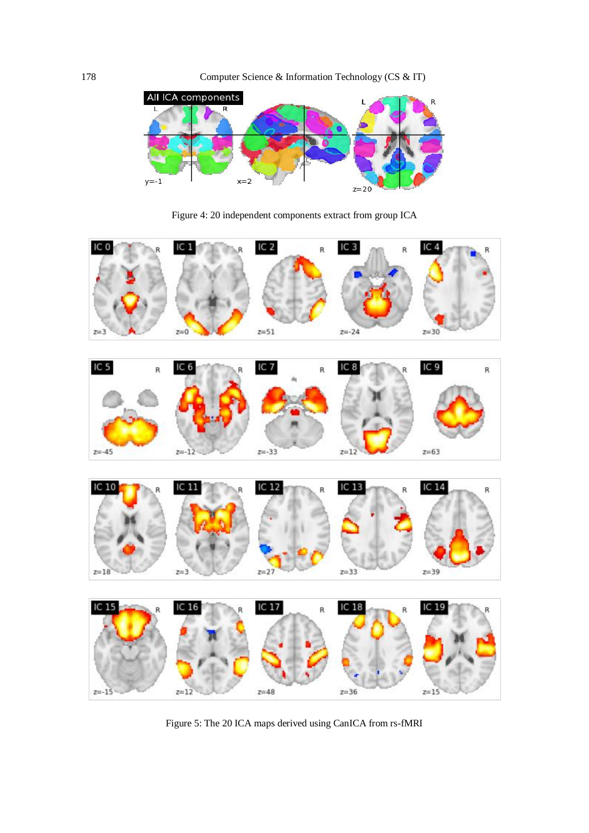

Figure 4: 20 independent components extract from group ICA



Figure 5: The 20 ICA maps derived using CanICA from rs-fMRI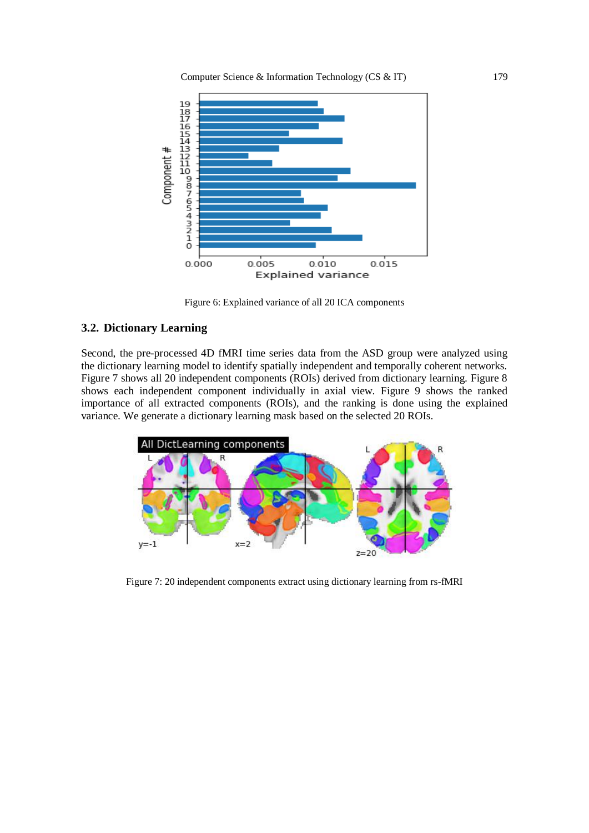

Figure 6: Explained variance of all 20 ICA components

# **3.2. Dictionary Learning**

Second, the pre-processed 4D fMRI time series data from the ASD group were analyzed using the dictionary learning model to identify spatially independent and temporally coherent networks. Figure 7 shows all 20 independent components (ROIs) derived from dictionary learning. Figure 8 shows each independent component individually in axial view. Figure 9 shows the ranked importance of all extracted components (ROIs), and the ranking is done using the explained variance. We generate a dictionary learning mask based on the selected 20 ROIs.



Figure 7: 20 independent components extract using dictionary learning from rs-fMRI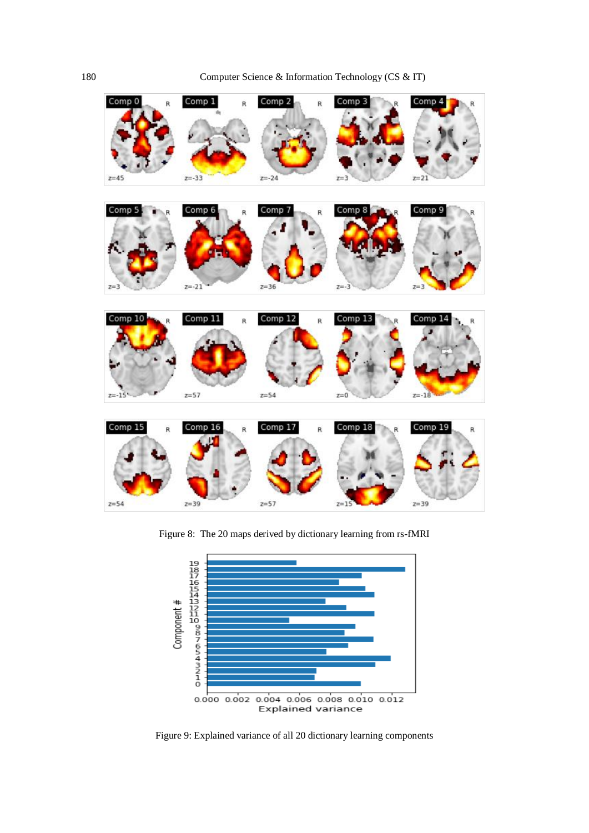180 Computer Science & Information Technology (CS & IT)



Figure 8: The 20 maps derived by dictionary learning from rs-fMRI



Figure 9: Explained variance of all 20 dictionary learning components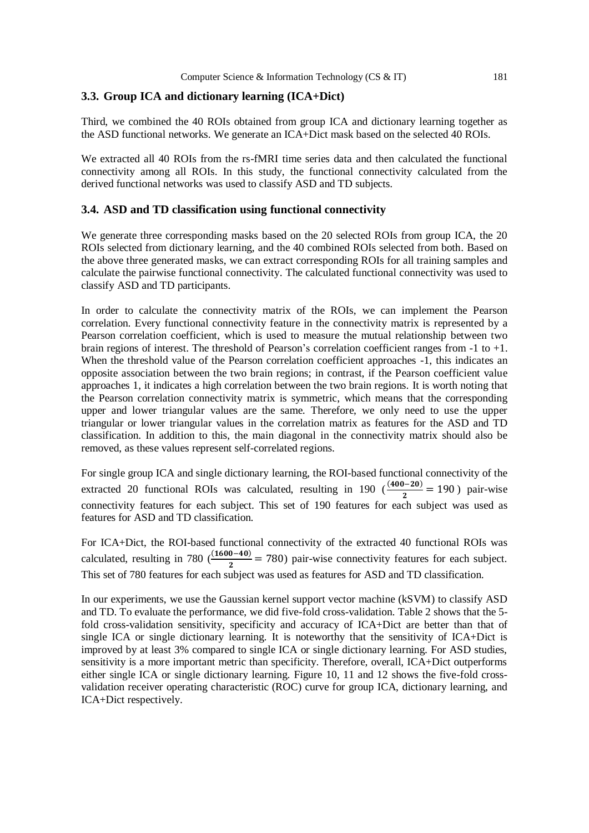#### **3.3. Group ICA and dictionary learning (ICA+Dict)**

Third, we combined the 40 ROIs obtained from group ICA and dictionary learning together as the ASD functional networks. We generate an ICA+Dict mask based on the selected 40 ROIs.

We extracted all 40 ROIs from the rs-fMRI time series data and then calculated the functional connectivity among all ROIs. In this study, the functional connectivity calculated from the derived functional networks was used to classify ASD and TD subjects.

#### **3.4. ASD and TD classification using functional connectivity**

We generate three corresponding masks based on the 20 selected ROIs from group ICA, the 20 ROIs selected from dictionary learning, and the 40 combined ROIs selected from both. Based on the above three generated masks, we can extract corresponding ROIs for all training samples and calculate the pairwise functional connectivity. The calculated functional connectivity was used to classify ASD and TD participants.

In order to calculate the connectivity matrix of the ROIs, we can implement the Pearson correlation. Every functional connectivity feature in the connectivity matrix is represented by a Pearson correlation coefficient, which is used to measure the mutual relationship between two brain regions of interest. The threshold of Pearson's correlation coefficient ranges from -1 to +1. When the threshold value of the Pearson correlation coefficient approaches  $-1$ , this indicates an opposite association between the two brain regions; in contrast, if the Pearson coefficient value approaches 1, it indicates a high correlation between the two brain regions. It is worth noting that the Pearson correlation connectivity matrix is symmetric, which means that the corresponding upper and lower triangular values are the same. Therefore, we only need to use the upper triangular or lower triangular values in the correlation matrix as features for the ASD and TD classification. In addition to this, the main diagonal in the connectivity matrix should also be removed, as these values represent self-correlated regions.

For single group ICA and single dictionary learning, the ROI-based functional connectivity of the extracted 20 functional ROIs was calculated, resulting in 190  $(\frac{(400-20)}{2})$  $\frac{1}{2}$  = 190 ) pair-wise connectivity features for each subject. This set of 190 features for each subject was used as features for ASD and TD classification.

For ICA+Dict, the ROI-based functional connectivity of the extracted 40 functional ROIs was calculated, resulting in 780  $(\frac{(1600-40)}{2})$  = 780) pair-wise connectivity features for each subject. This set of 780 features for each subject was used as features for ASD and TD classification.

In our experiments, we use the Gaussian kernel support vector machine (kSVM) to classify ASD and TD. To evaluate the performance, we did five-fold cross-validation. Table 2 shows that the 5 fold cross-validation sensitivity, specificity and accuracy of ICA+Dict are better than that of single ICA or single dictionary learning. It is noteworthy that the sensitivity of ICA+Dict is improved by at least 3% compared to single ICA or single dictionary learning. For ASD studies, sensitivity is a more important metric than specificity. Therefore, overall, ICA+Dict outperforms either single ICA or single dictionary learning. Figure 10, 11 and 12 shows the five-fold crossvalidation receiver operating characteristic (ROC) curve for group ICA, dictionary learning, and ICA+Dict respectively.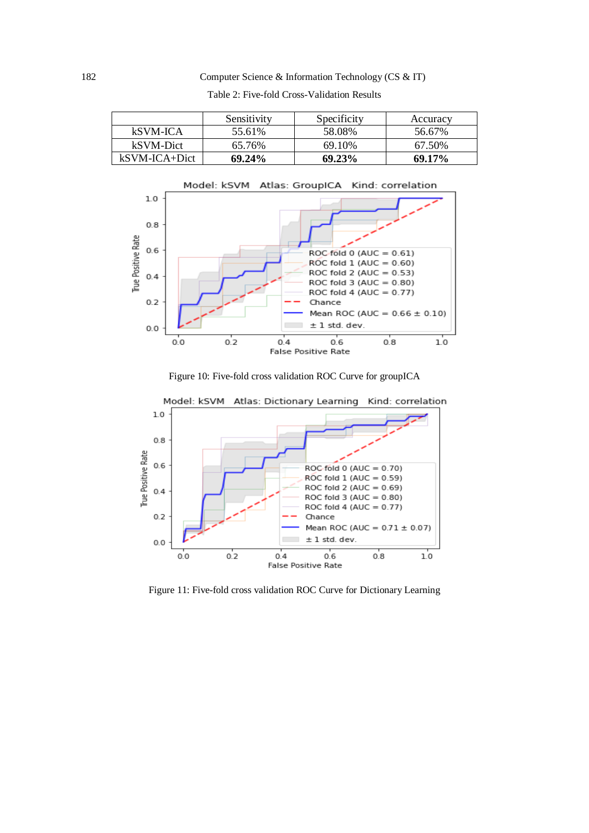#### 182 Computer Science & Information Technology (CS & IT)

|               | Sensitivity | Specificity | Accuracy |
|---------------|-------------|-------------|----------|
| kSVM-ICA      | 55.61%      | 58.08%      | 56.67%   |
| kSVM-Dict     | 65.76%      | 69.10%      | 67.50%   |
| kSVM-ICA+Dict | 69.24%      | 69.23%      | 69.17%   |

Table 2: Five-fold Cross-Validation Results



Figure 10: Five-fold cross validation ROC Curve for groupICA



Figure 11: Five-fold cross validation ROC Curve for Dictionary Learning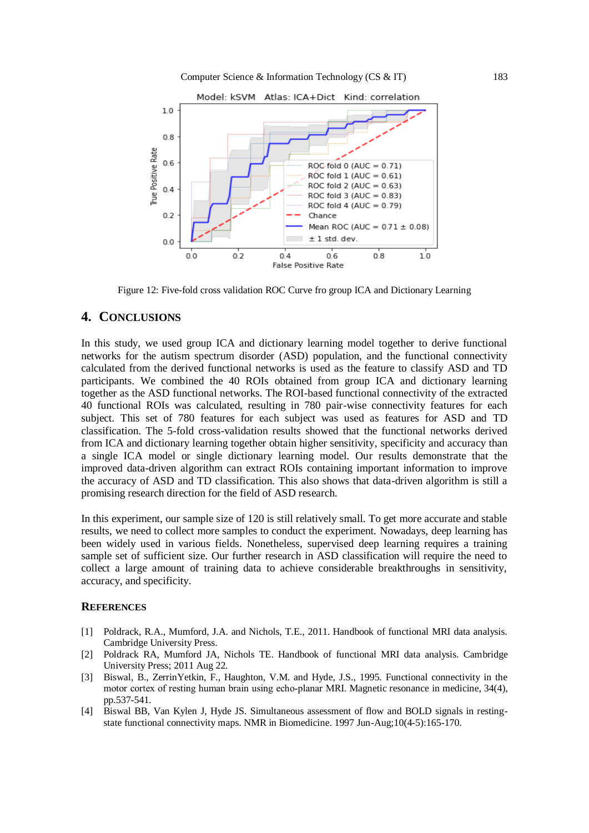

Figure 12: Five-fold cross validation ROC Curve fro group ICA and Dictionary Learning

# **4. CONCLUSIONS**

In this study, we used group ICA and dictionary learning model together to derive functional networks for the autism spectrum disorder (ASD) population, and the functional connectivity calculated from the derived functional networks is used as the feature to classify ASD and TD participants. We combined the 40 ROIs obtained from group ICA and dictionary learning together as the ASD functional networks. The ROI-based functional connectivity of the extracted 40 functional ROIs was calculated, resulting in 780 pair-wise connectivity features for each subject. This set of 780 features for each subject was used as features for ASD and TD classification. The 5-fold cross-validation results showed that the functional networks derived from ICA and dictionary learning together obtain higher sensitivity, specificity and accuracy than a single ICA model or single dictionary learning model. Our results demonstrate that the improved data-driven algorithm can extract ROIs containing important information to improve the accuracy of ASD and TD classification. This also shows that data-driven algorithm is still a promising research direction for the field of ASD research.

In this experiment, our sample size of 120 is still relatively small. To get more accurate and stable results, we need to collect more samples to conduct the experiment. Nowadays, deep learning has been widely used in various fields. Nonetheless, supervised deep learning requires a training sample set of sufficient size. Our further research in ASD classification will require the need to collect a large amount of training data to achieve considerable breakthroughs in sensitivity, accuracy, and specificity.

#### **REFERENCES**

- [1] Poldrack, R.A., Mumford, J.A. and Nichols, T.E., 2011. Handbook of functional MRI data analysis. Cambridge University Press.
- [2] Poldrack RA, Mumford JA, Nichols TE. Handbook of functional MRI data analysis. Cambridge University Press; 2011 Aug 22.
- [3] Biswal, B., ZerrinYetkin, F., Haughton, V.M. and Hyde, J.S., 1995. Functional connectivity in the motor cortex of resting human brain using echo-planar MRI. Magnetic resonance in medicine, 34(4), pp.537-541.
- [4] Biswal BB, Van Kylen J, Hyde JS. Simultaneous assessment of flow and BOLD signals in restingstate functional connectivity maps. NMR in Biomedicine. 1997 Jun-Aug;10(4-5):165-170.